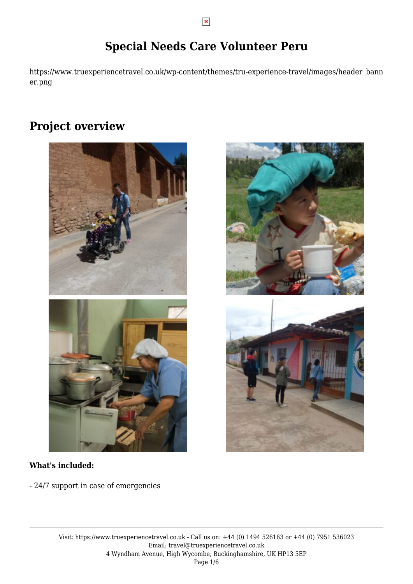## **Special Needs Care Volunteer Peru**

https://www.truexperiencetravel.co.uk/wp-content/themes/tru-experience-travel/images/header\_bann er.png

### **Project overview**



### **What's included:**

- 24/7 support in case of emergencies

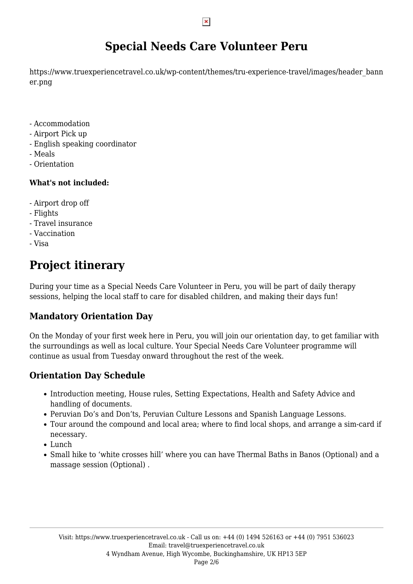## **Special Needs Care Volunteer Peru**

https://www.truexperiencetravel.co.uk/wp-content/themes/tru-experience-travel/images/header\_bann er.png

- Accommodation
- Airport Pick up
- English speaking coordinator
- Meals
- Orientation

### **What's not included:**

- Airport drop off
- Flights
- Travel insurance
- Vaccination
- Visa

# **Project itinerary**

During your time as a Special Needs Care Volunteer in Peru, you will be part of daily therapy sessions, helping the local staff to care for disabled children, and making their days fun!

### **Mandatory Orientation Day**

On the Monday of your first week here in Peru, you will join our orientation day, to get familiar with the surroundings as well as local culture. Your Special Needs Care Volunteer programme will continue as usual from Tuesday onward throughout the rest of the week.

### **Orientation Day Schedule**

- Introduction meeting, House rules, Setting Expectations, Health and Safety Advice and handling of documents.
- Peruvian Do's and Don'ts, Peruvian Culture Lessons and Spanish Language Lessons.
- Tour around the compound and local area; where to find local shops, and arrange a sim-card if necessary.
- Lunch
- Small hike to 'white crosses hill' where you can have Thermal Baths in Banos (Optional) and a massage session (Optional) .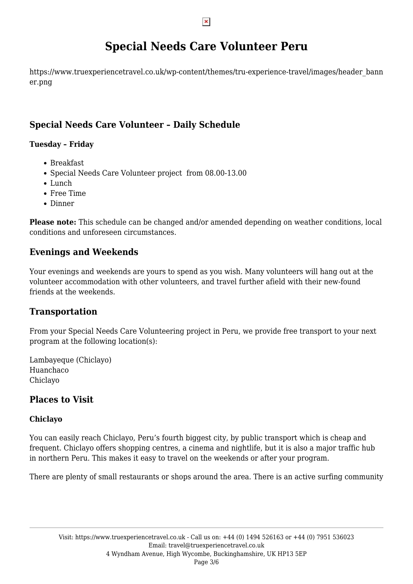## **Special Needs Care Volunteer Peru**

https://www.truexperiencetravel.co.uk/wp-content/themes/tru-experience-travel/images/header\_bann er.png

### **Special Needs Care Volunteer – Daily Schedule**

### **Tuesday – Friday**

- Breakfast
- Special Needs Care Volunteer project from 08.00-13.00
- Lunch
- Free Time
- Dinner

**Please note:** This schedule can be changed and/or amended depending on weather conditions, local conditions and unforeseen circumstances.

### **Evenings and Weekends**

Your evenings and weekends are yours to spend as you wish. Many volunteers will hang out at the volunteer accommodation with other volunteers, and travel further afield with their new-found friends at the weekends.

### **Transportation**

From your Special Needs Care Volunteering project in Peru, we provide free transport to your next program at the following location(s):

Lambayeque (Chiclayo) Huanchaco Chiclayo

### **Places to Visit**

### **Chiclayo**

You can easily reach Chiclayo, Peru's fourth biggest city, by public transport which is cheap and frequent. Chiclayo offers shopping centres, a cinema and nightlife, but it is also a major traffic hub in northern Peru. This makes it easy to travel on the weekends or after your program.

There are plenty of small restaurants or shops around the area. There is an active surfing community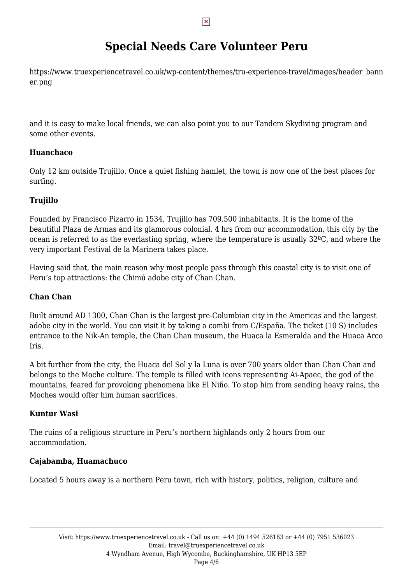## **Special Needs Care Volunteer Peru**

https://www.truexperiencetravel.co.uk/wp-content/themes/tru-experience-travel/images/header\_bann er.png

and it is easy to make local friends, we can also point you to our Tandem Skydiving program and some other events.

### **Huanchaco**

Only 12 km outside Trujillo. Once a quiet fishing hamlet, the town is now one of the best places for surfing.

### **Trujillo**

Founded by Francisco Pizarro in 1534, Trujillo has 709,500 inhabitants. It is the home of the beautiful Plaza de Armas and its glamorous colonial. 4 hrs from our accommodation, this city by the ocean is referred to as the everlasting spring, where the temperature is usually 32ºC, and where the very important Festival de la Marinera takes place.

Having said that, the main reason why most people pass through this coastal city is to visit one of Peru's top attractions: the Chimú adobe city of Chan Chan.

### **Chan Chan**

Built around AD 1300, Chan Chan is the largest pre-Columbian city in the Americas and the largest adobe city in the world. You can visit it by taking a combi from C/España. The ticket (10 S) includes entrance to the Nik-An temple, the Chan Chan museum, the Huaca la Esmeralda and the Huaca Arco Iris.

A bit further from the city, the Huaca del Sol y la Luna is over 700 years older than Chan Chan and belongs to the Moche culture. The temple is filled with icons representing Ai-Apaec, the god of the mountains, feared for provoking phenomena like El Niño. To stop him from sending heavy rains, the Moches would offer him human sacrifices.

### **Kuntur Wasi**

The ruins of a religious structure in Peru's northern highlands only 2 hours from our accommodation.

#### **Cajabamba, Huamachuco**

Located 5 hours away is a northern Peru town, rich with history, politics, religion, culture and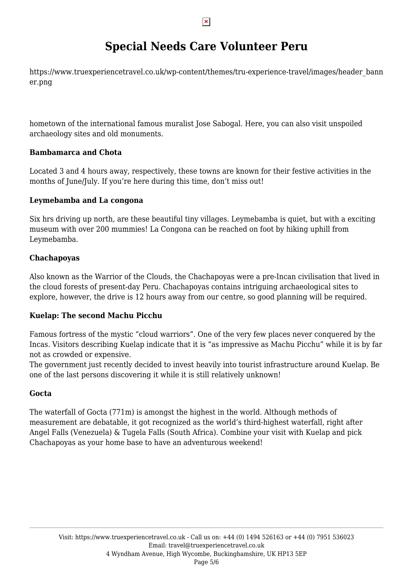## **Special Needs Care Volunteer Peru**

https://www.truexperiencetravel.co.uk/wp-content/themes/tru-experience-travel/images/header\_bann er.png

hometown of the international famous muralist Jose Sabogal. Here, you can also visit unspoiled archaeology sites and old monuments.

#### **Bambamarca and Chota**

Located 3 and 4 hours away, respectively, these towns are known for their festive activities in the months of June/July. If you're here during this time, don't miss out!

### **Leymebamba and La congona**

Six hrs driving up north, are these beautiful tiny villages. Leymebamba is quiet, but with a exciting museum with over 200 mummies! La Congona can be reached on foot by hiking uphill from Leymebamba.

### **Chachapoyas**

Also known as the Warrior of the Clouds, the Chachapoyas were a pre-Incan civilisation that lived in the cloud forests of present-day Peru. Chachapoyas contains intriguing archaeological sites to explore, however, the drive is 12 hours away from our centre, so good planning will be required.

#### **Kuelap: The second Machu Picchu**

Famous fortress of the mystic "cloud warriors". One of the very few places never conquered by the Incas. Visitors describing Kuelap indicate that it is "as impressive as Machu Picchu" while it is by far not as crowded or expensive.

The government just recently decided to invest heavily into tourist infrastructure around Kuelap. Be one of the last persons discovering it while it is still relatively unknown!

#### **Gocta**

The waterfall of Gocta (771m) is amongst the highest in the world. Although methods of measurement are debatable, it got recognized as the world's third-highest waterfall, right after Angel Falls (Venezuela) & Tugela Falls (South Africa). Combine your visit with Kuelap and pick Chachapoyas as your home base to have an adventurous weekend!